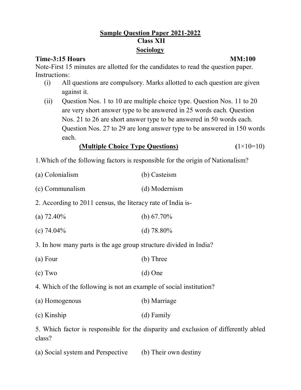# **Sample Question Paper 2021-2022 Class XII Sociology**

### **Time-3:15 Hours MM:100**

Note-First 15 minutes are allotted for the candidates to read the question paper. Instructions:

- (i) All questions are compulsory. Marks allotted to each question are given against it.
- (ii) Question Nos. 1 to 10 are multiple choice type. Question Nos. 11 to 20 are very short answer type to be answered in 25 words each. Question Nos. 21 to 26 are short answer type to be answered in 50 words each. Question Nos. 27 to 29 are long answer type to be answered in 150 words each.

### **(Multiple Choice Type Questions) (**1×10=10)

- 1.Which of the following factors is responsible for the origin of Nationalism?
- (a) Colonialism (b) Casteism
- (c) Communalism (d) Modernism
- 2. According to 2011 census, the literacy rate of India is-
- (a)  $72.40\%$  (b)  $67.70\%$
- (c)  $74.04\%$  (d)  $78.80\%$
- 3. In how many parts is the age group structure divided in India?
- (a) Four (b) Three
- (c) Two (d) One
- 4. Which of the following is not an example of social institution?
- (a) Homogenous (b) Marriage
- (c) Kinship (d) Family

5. Which factor is responsible for the disparity and exclusion of differently abled class?

(a) Social system and Perspective (b) Their own destiny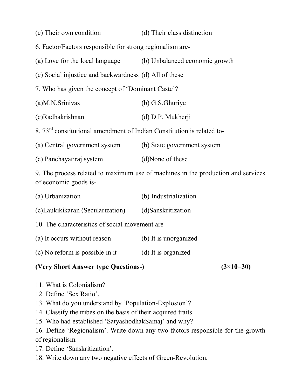| (c) Their own condition                                                                                   | (d) Their class distinction    |
|-----------------------------------------------------------------------------------------------------------|--------------------------------|
| 6. Factor/Factors responsible for strong regionalism are-                                                 |                                |
| (a) Love for the local language                                                                           | (b) Unbalanced economic growth |
| (c) Social injustice and backwardness (d) All of these                                                    |                                |
| 7. Who has given the concept of 'Dominant Caste'?                                                         |                                |
| (a)M.N.Srinivas                                                                                           | (b) G.S.Ghuriye                |
| (c)Radhakrishnan                                                                                          | (d) D.P. Mukherji              |
| 8. 73 <sup>rd</sup> constitutional amendment of Indian Constitution is related to-                        |                                |
| (a) Central government system                                                                             | (b) State government system    |
| (c) Panchayatiraj system                                                                                  | (d)None of these               |
| 9. The process related to maximum use of machines in the production and services<br>of economic goods is- |                                |
| (a) Urbanization                                                                                          | (b) Industrialization          |
| (c)Laukikikaran (Secularization)                                                                          | (d)Sanskritization             |
| 10. The characteristics of social movement are-                                                           |                                |
| (a) It occurs without reason                                                                              | (b) It is unorganized          |

(c) No reform is possible in it (d) It is organized

## **(Very Short Answer type Questions-) (3×10=30)**

- 11. What is Colonialism?
- 12. Define 'Sex Ratio'.
- 13. What do you understand by 'Population-Explosion'?
- 14. Classify the tribes on the basis of their acquired traits.
- 15. Who had established 'SatyashodhakSamaj' and why?
- 16. Define 'Regionalism'. Write down any two factors responsible for the growth of regionalism.
- 17. Define 'Sanskritization'.
- 18. Write down any two negative effects of Green-Revolution.